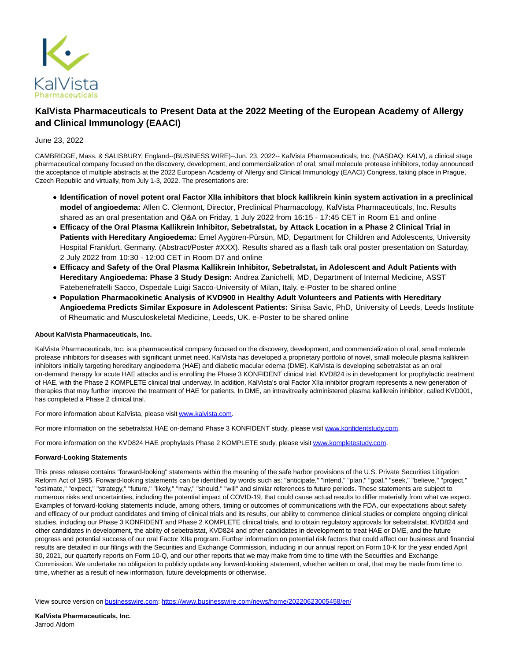

## **KalVista Pharmaceuticals to Present Data at the 2022 Meeting of the European Academy of Allergy and Clinical Immunology (EAACI)**

## June 23, 2022

CAMBRIDGE, Mass. & SALISBURY, England--(BUSINESS WIRE)--Jun. 23, 2022-- KalVista Pharmaceuticals, Inc. (NASDAQ: KALV), a clinical stage pharmaceutical company focused on the discovery, development, and commercialization of oral, small molecule protease inhibitors, today announced the acceptance of multiple abstracts at the 2022 European Academy of Allergy and Clinical Immunology (EAACI) Congress, taking place in Prague, Czech Republic and virtually, from July 1-3, 2022. The presentations are:

- **Identification of novel potent oral Factor XIIa inhibitors that block kallikrein kinin system activation in a preclinical model of angioedema:** Allen C. Clermont, Director, Preclinical Pharmacology, KalVista Pharmaceuticals, Inc. Results shared as an oral presentation and Q&A on Friday, 1 July 2022 from 16:15 - 17:45 CET in Room E1 and online
- **Efficacy of the Oral Plasma Kallikrein Inhibitor, Sebetralstat, by Attack Location in a Phase 2 Clinical Trial in Patients with Hereditary Angioedema:** Emel Aygören-Pürsün, MD, Department for Children and Adolescents, University Hospital Frankfurt, Germany. (Abstract/Poster #XXX). Results shared as a flash talk oral poster presentation on Saturday, 2 July 2022 from 10:30 - 12:00 CET in Room D7 and online
- **Efficacy and Safety of the Oral Plasma Kallikrein Inhibitor, Sebetralstat, in Adolescent and Adult Patients with Hereditary Angioedema: Phase 3 Study Design:** Andrea Zanichelli, MD, Department of Internal Medicine, ASST Fatebenefratelli Sacco, Ospedale Luigi Sacco-University of Milan, Italy. e-Poster to be shared online
- **Population Pharmacokinetic Analysis of KVD900 in Healthy Adult Volunteers and Patients with Hereditary Angioedema Predicts Similar Exposure in Adolescent Patients:** Sinisa Savic, PhD, University of Leeds, Leeds Institute of Rheumatic and Musculoskeletal Medicine, Leeds, UK. e-Poster to be shared online

## **About KalVista Pharmaceuticals, Inc.**

KalVista Pharmaceuticals, Inc. is a pharmaceutical company focused on the discovery, development, and commercialization of oral, small molecule protease inhibitors for diseases with significant unmet need. KalVista has developed a proprietary portfolio of novel, small molecule plasma kallikrein inhibitors initially targeting hereditary angioedema (HAE) and diabetic macular edema (DME). KalVista is developing sebetralstat as an oral on-demand therapy for acute HAE attacks and is enrolling the Phase 3 KONFIDENT clinical trial. KVD824 is in development for prophylactic treatment of HAE, with the Phase 2 KOMPLETE clinical trial underway. In addition, KalVista's oral Factor XIIa inhibitor program represents a new generation of therapies that may further improve the treatment of HAE for patients. In DME, an intravitreally administered plasma kallikrein inhibitor, called KVD001, has completed a Phase 2 clinical trial.

For more information about KalVista, please visit [www.kalvista.com.](https://cts.businesswire.com/ct/CT?id=smartlink&url=http%3A%2F%2Fwww.kalvista.com%2F&esheet=52759769&newsitemid=20220623005458&lan=en-US&anchor=www.kalvista.com&index=1&md5=737416120060ba59b1a5be041455962e)

For more information on the sebetralstat HAE on-demand Phase 3 KONFIDENT study, please visit [www.konfidentstudy.com.](https://cts.businesswire.com/ct/CT?id=smartlink&url=http%3A%2F%2Fwww.konfidentstudy.com&esheet=52759769&newsitemid=20220623005458&lan=en-US&anchor=www.konfidentstudy.com&index=2&md5=86d0da9e54b93d1c0f491f62e9e06c3e)

For more information on the KVD824 HAE prophylaxis Phase 2 KOMPLETE study, please visi[t www.kompletestudy.com.](https://cts.businesswire.com/ct/CT?id=smartlink&url=http%3A%2F%2Fwww.kompletestudy.com&esheet=52759769&newsitemid=20220623005458&lan=en-US&anchor=www.kompletestudy.com&index=3&md5=77498dff80316799551edd4d6205892f)

## **Forward-Looking Statements**

This press release contains "forward-looking" statements within the meaning of the safe harbor provisions of the U.S. Private Securities Litigation Reform Act of 1995. Forward-looking statements can be identified by words such as: "anticipate," "intend," "plan," "goal," "seek," "believe," "project," "estimate," "expect," "strategy," "future," "likely," "may," "should," "will" and similar references to future periods. These statements are subject to numerous risks and uncertainties, including the potential impact of COVID-19, that could cause actual results to differ materially from what we expect. Examples of forward-looking statements include, among others, timing or outcomes of communications with the FDA, our expectations about safety and efficacy of our product candidates and timing of clinical trials and its results, our ability to commence clinical studies or complete ongoing clinical studies, including our Phase 3 KONFIDENT and Phase 2 KOMPLETE clinical trials, and to obtain regulatory approvals for sebetralstat, KVD824 and other candidates in development, the ability of sebetralstat, KVD824 and other candidates in development to treat HAE or DME, and the future progress and potential success of our oral Factor XIIa program. Further information on potential risk factors that could affect our business and financial results are detailed in our filings with the Securities and Exchange Commission, including in our annual report on Form 10-K for the year ended April 30, 2021, our quarterly reports on Form 10-Q, and our other reports that we may make from time to time with the Securities and Exchange Commission. We undertake no obligation to publicly update any forward-looking statement, whether written or oral, that may be made from time to time, whether as a result of new information, future developments or otherwise.

View source version on [businesswire.com:](http://businesswire.com/)<https://www.businesswire.com/news/home/20220623005458/en/>